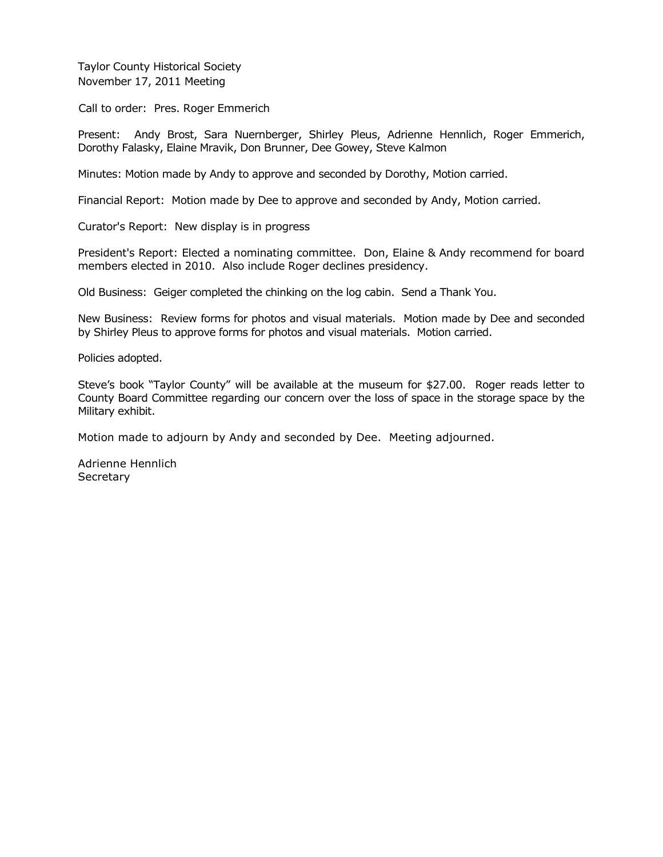Taylor County Historical Society November 17, 2011 Meeting

Call to order: Pres. Roger Emmerich

Present: Andy Brost, Sara Nuernberger, Shirley Pleus, Adrienne Hennlich, Roger Emmerich, Dorothy Falasky, Elaine Mravik, Don Brunner, Dee Gowey, Steve Kalmon

Minutes: Motion made by Andy to approve and seconded by Dorothy, Motion carried.

Financial Report: Motion made by Dee to approve and seconded by Andy, Motion carried.

Curator's Report: New display is in progress

President's Report: Elected a nominating committee. Don, Elaine & Andy recommend for board members elected in 2010. Also include Roger declines presidency.

Old Business: Geiger completed the chinking on the log cabin. Send a Thank You.

New Business: Review forms for photos and visual materials. Motion made by Dee and seconded by Shirley Pleus to approve forms for photos and visual materials. Motion carried.

Policies adopted.

Steve's book "Taylor County" will be available at the museum for \$27.00. Roger reads letter to County Board Committee regarding our concern over the loss of space in the storage space by the Military exhibit.

Motion made to adjourn by Andy and seconded by Dee. Meeting adjourned.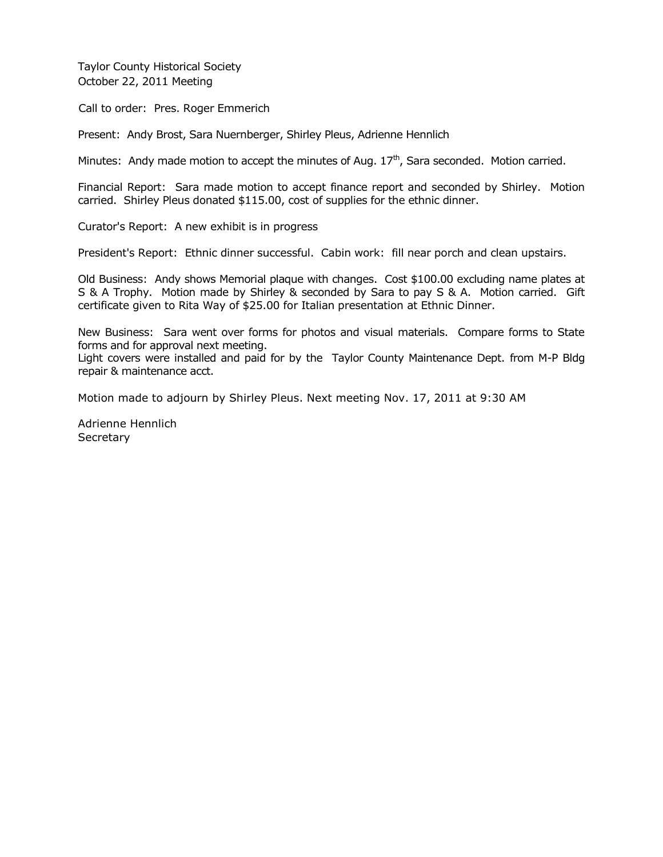Taylor County Historical Society October 22, 2011 Meeting

Call to order: Pres. Roger Emmerich

Present: Andy Brost, Sara Nuernberger, Shirley Pleus, Adrienne Hennlich

Minutes: Andy made motion to accept the minutes of Aug.  $17<sup>th</sup>$ , Sara seconded. Motion carried.

Financial Report: Sara made motion to accept finance report and seconded by Shirley. Motion carried. Shirley Pleus donated \$115.00, cost of supplies for the ethnic dinner.

Curator's Report: A new exhibit is in progress

President's Report: Ethnic dinner successful. Cabin work: fill near porch and clean upstairs.

Old Business: Andy shows Memorial plaque with changes. Cost \$100.00 excluding name plates at S & A Trophy. Motion made by Shirley & seconded by Sara to pay S & A. Motion carried. Gift certificate given to Rita Way of \$25.00 for Italian presentation at Ethnic Dinner.

New Business: Sara went over forms for photos and visual materials. Compare forms to State forms and for approval next meeting.

Light covers were installed and paid for by the Taylor County Maintenance Dept. from M-P Bldg repair & maintenance acct.

Motion made to adjourn by Shirley Pleus. Next meeting Nov. 17, 2011 at 9:30 AM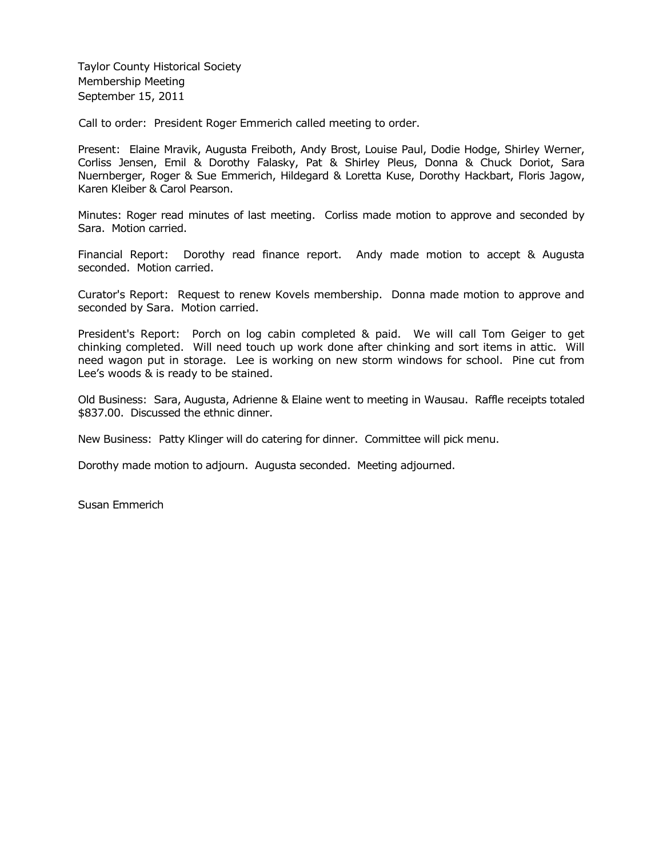Taylor County Historical Society Membership Meeting September 15, 2011

Call to order: President Roger Emmerich called meeting to order.

Present: Elaine Mravik, Augusta Freiboth, Andy Brost, Louise Paul, Dodie Hodge, Shirley Werner, Corliss Jensen, Emil & Dorothy Falasky, Pat & Shirley Pleus, Donna & Chuck Doriot, Sara Nuernberger, Roger & Sue Emmerich, Hildegard & Loretta Kuse, Dorothy Hackbart, Floris Jagow, Karen Kleiber & Carol Pearson.

Minutes: Roger read minutes of last meeting. Corliss made motion to approve and seconded by Sara. Motion carried.

Financial Report: Dorothy read finance report. Andy made motion to accept & Augusta seconded. Motion carried.

Curator's Report: Request to renew Kovels membership. Donna made motion to approve and seconded by Sara. Motion carried.

President's Report: Porch on log cabin completed & paid. We will call Tom Geiger to get chinking completed. Will need touch up work done after chinking and sort items in attic. Will need wagon put in storage. Lee is working on new storm windows for school. Pine cut from Lee's woods & is ready to be stained.

Old Business: Sara, Augusta, Adrienne & Elaine went to meeting in Wausau. Raffle receipts totaled \$837.00. Discussed the ethnic dinner.

New Business: Patty Klinger will do catering for dinner. Committee will pick menu.

Dorothy made motion to adjourn. Augusta seconded. Meeting adjourned.

Susan Emmerich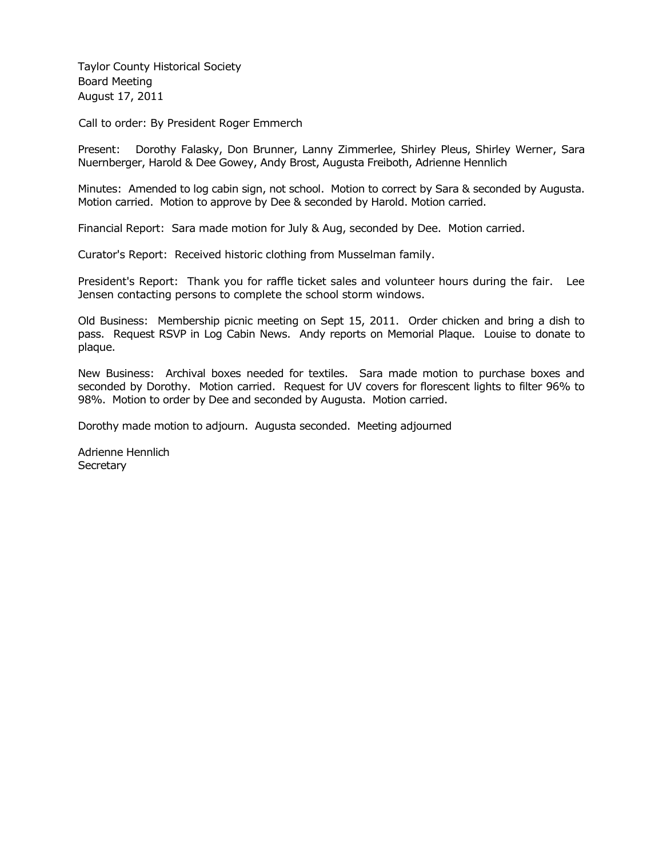Taylor County Historical Society Board Meeting August 17, 2011

Call to order: By President Roger Emmerch

Present: Dorothy Falasky, Don Brunner, Lanny Zimmerlee, Shirley Pleus, Shirley Werner, Sara Nuernberger, Harold & Dee Gowey, Andy Brost, Augusta Freiboth, Adrienne Hennlich

Minutes: Amended to log cabin sign, not school. Motion to correct by Sara & seconded by Augusta. Motion carried. Motion to approve by Dee & seconded by Harold. Motion carried.

Financial Report: Sara made motion for July & Aug, seconded by Dee. Motion carried.

Curator's Report: Received historic clothing from Musselman family.

President's Report: Thank you for raffle ticket sales and volunteer hours during the fair. Lee Jensen contacting persons to complete the school storm windows.

Old Business: Membership picnic meeting on Sept 15, 2011. Order chicken and bring a dish to pass. Request RSVP in Log Cabin News. Andy reports on Memorial Plaque. Louise to donate to plaque.

New Business: Archival boxes needed for textiles. Sara made motion to purchase boxes and seconded by Dorothy. Motion carried. Request for UV covers for florescent lights to filter 96% to 98%. Motion to order by Dee and seconded by Augusta. Motion carried.

Dorothy made motion to adjourn. Augusta seconded. Meeting adjourned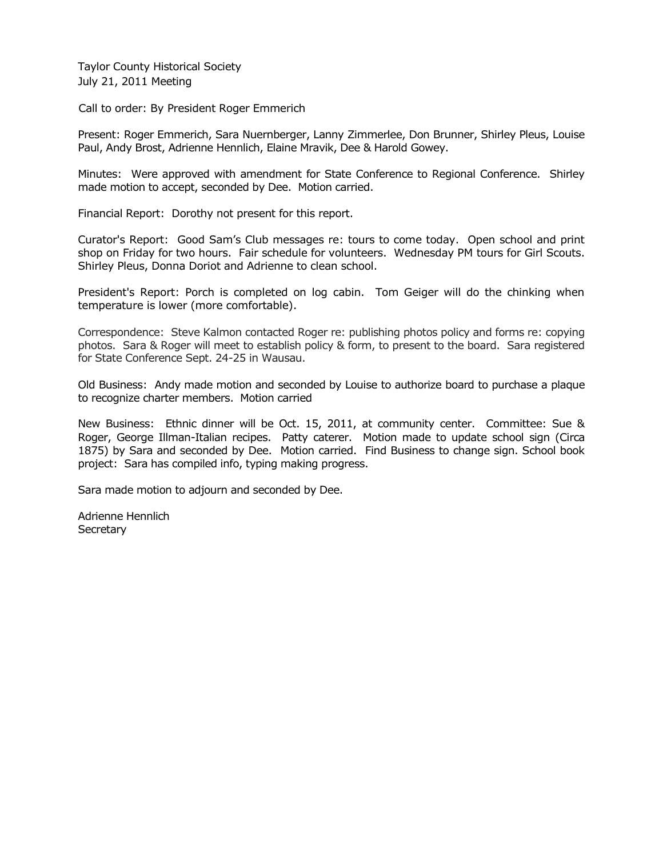Taylor County Historical Society July 21, 2011 Meeting

Call to order: By President Roger Emmerich

Present: Roger Emmerich, Sara Nuernberger, Lanny Zimmerlee, Don Brunner, Shirley Pleus, Louise Paul, Andy Brost, Adrienne Hennlich, Elaine Mravik, Dee & Harold Gowey.

Minutes: Were approved with amendment for State Conference to Regional Conference. Shirley made motion to accept, seconded by Dee. Motion carried.

Financial Report: Dorothy not present for this report.

Curator's Report: Good Sam's Club messages re: tours to come today. Open school and print shop on Friday for two hours. Fair schedule for volunteers. Wednesday PM tours for Girl Scouts. Shirley Pleus, Donna Doriot and Adrienne to clean school.

President's Report: Porch is completed on log cabin. Tom Geiger will do the chinking when temperature is lower (more comfortable).

Correspondence: Steve Kalmon contacted Roger re: publishing photos policy and forms re: copying photos. Sara & Roger will meet to establish policy & form, to present to the board. Sara registered for State Conference Sept. 24-25 in Wausau.

Old Business: Andy made motion and seconded by Louise to authorize board to purchase a plaque to recognize charter members. Motion carried

New Business: Ethnic dinner will be Oct. 15, 2011, at community center. Committee: Sue & Roger, George Illman-Italian recipes. Patty caterer. Motion made to update school sign (Circa 1875) by Sara and seconded by Dee. Motion carried. Find Business to change sign. School book project: Sara has compiled info, typing making progress.

Sara made motion to adjourn and seconded by Dee.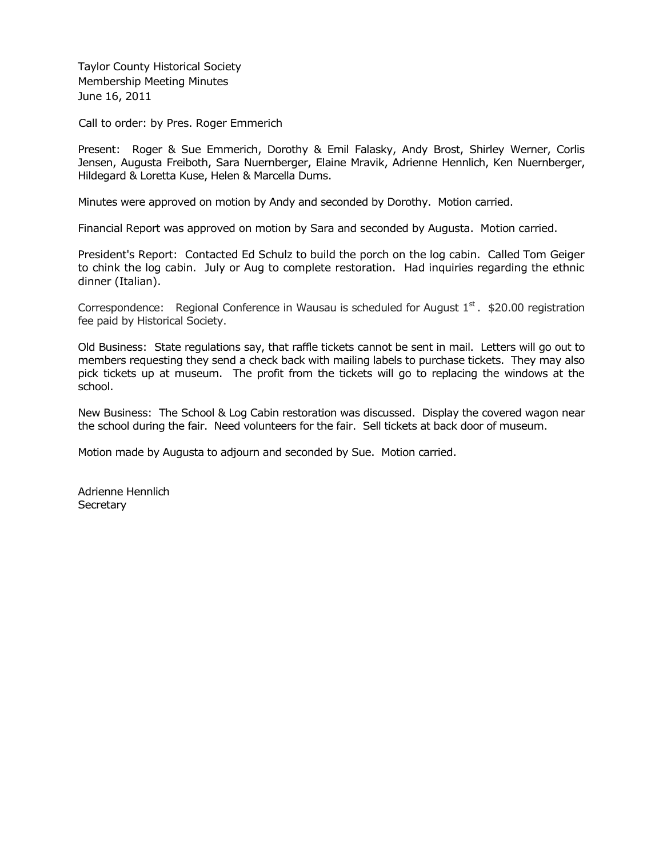Taylor County Historical Society Membership Meeting Minutes June 16, 2011

Call to order: by Pres. Roger Emmerich

Present: Roger & Sue Emmerich, Dorothy & Emil Falasky, Andy Brost, Shirley Werner, Corlis Jensen, Augusta Freiboth, Sara Nuernberger, Elaine Mravik, Adrienne Hennlich, Ken Nuernberger, Hildegard & Loretta Kuse, Helen & Marcella Dums.

Minutes were approved on motion by Andy and seconded by Dorothy. Motion carried.

Financial Report was approved on motion by Sara and seconded by Augusta. Motion carried.

President's Report: Contacted Ed Schulz to build the porch on the log cabin. Called Tom Geiger to chink the log cabin. July or Aug to complete restoration. Had inquiries regarding the ethnic dinner (Italian).

Correspondence: Regional Conference in Wausau is scheduled for August  $1<sup>st</sup>$ . \$20.00 registration fee paid by Historical Society.

Old Business: State regulations say, that raffle tickets cannot be sent in mail. Letters will go out to members requesting they send a check back with mailing labels to purchase tickets. They may also pick tickets up at museum. The profit from the tickets will go to replacing the windows at the school.

New Business: The School & Log Cabin restoration was discussed. Display the covered wagon near the school during the fair. Need volunteers for the fair. Sell tickets at back door of museum.

Motion made by Augusta to adjourn and seconded by Sue. Motion carried.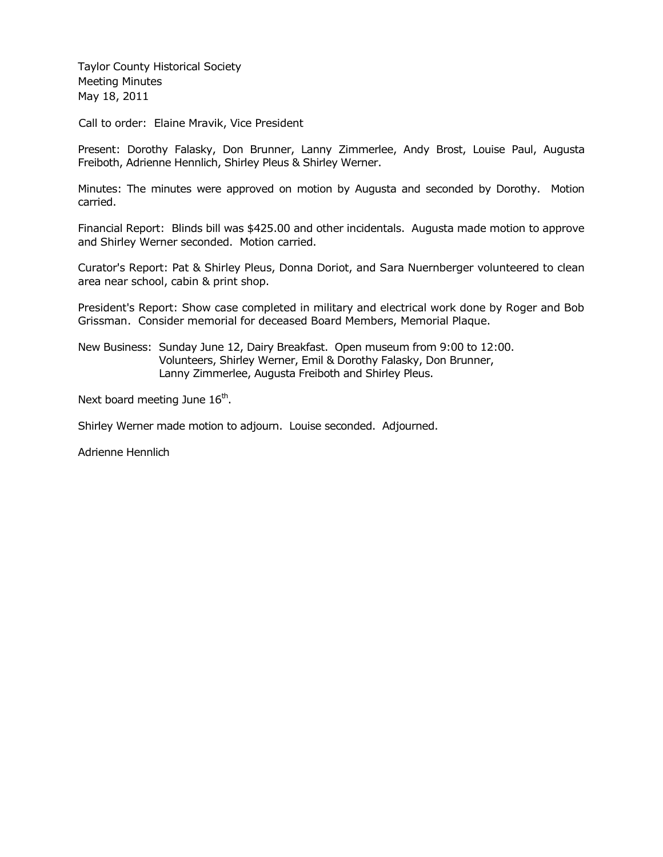Taylor County Historical Society Meeting Minutes May 18, 2011

Call to order: Elaine Mravik, Vice President

Present: Dorothy Falasky, Don Brunner, Lanny Zimmerlee, Andy Brost, Louise Paul, Augusta Freiboth, Adrienne Hennlich, Shirley Pleus & Shirley Werner.

Minutes: The minutes were approved on motion by Augusta and seconded by Dorothy. Motion carried.

Financial Report: Blinds bill was \$425.00 and other incidentals. Augusta made motion to approve and Shirley Werner seconded. Motion carried.

Curator's Report: Pat & Shirley Pleus, Donna Doriot, and Sara Nuernberger volunteered to clean area near school, cabin & print shop.

President's Report: Show case completed in military and electrical work done by Roger and Bob Grissman. Consider memorial for deceased Board Members, Memorial Plaque.

New Business: Sunday June 12, Dairy Breakfast. Open museum from 9:00 to 12:00. Volunteers, Shirley Werner, Emil & Dorothy Falasky, Don Brunner, Lanny Zimmerlee, Augusta Freiboth and Shirley Pleus.

Next board meeting June  $16<sup>th</sup>$ .

Shirley Werner made motion to adjourn. Louise seconded. Adjourned.

Adrienne Hennlich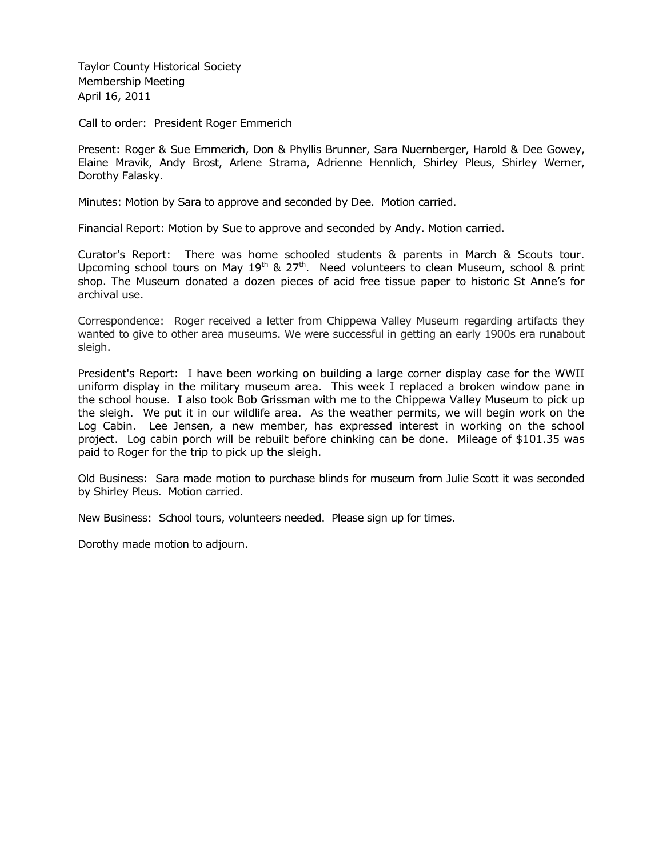Taylor County Historical Society Membership Meeting April 16, 2011

Call to order: President Roger Emmerich

Present: Roger & Sue Emmerich, Don & Phyllis Brunner, Sara Nuernberger, Harold & Dee Gowey, Elaine Mravik, Andy Brost, Arlene Strama, Adrienne Hennlich, Shirley Pleus, Shirley Werner, Dorothy Falasky.

Minutes: Motion by Sara to approve and seconded by Dee. Motion carried.

Financial Report: Motion by Sue to approve and seconded by Andy. Motion carried.

Curator's Report: There was home schooled students & parents in March & Scouts tour. Upcoming school tours on May  $19<sup>th</sup>$  & 27<sup>th</sup>. Need volunteers to clean Museum, school & print shop. The Museum donated a dozen pieces of acid free tissue paper to historic St Anne's for archival use.

Correspondence: Roger received a letter from Chippewa Valley Museum regarding artifacts they wanted to give to other area museums. We were successful in getting an early 1900s era runabout sleigh.

President's Report: I have been working on building a large corner display case for the WWII uniform display in the military museum area. This week I replaced a broken window pane in the school house. I also took Bob Grissman with me to the Chippewa Valley Museum to pick up the sleigh. We put it in our wildlife area. As the weather permits, we will begin work on the Log Cabin. Lee Jensen, a new member, has expressed interest in working on the school project. Log cabin porch will be rebuilt before chinking can be done. Mileage of \$101.35 was paid to Roger for the trip to pick up the sleigh.

Old Business: Sara made motion to purchase blinds for museum from Julie Scott it was seconded by Shirley Pleus. Motion carried.

New Business: School tours, volunteers needed. Please sign up for times.

Dorothy made motion to adjourn.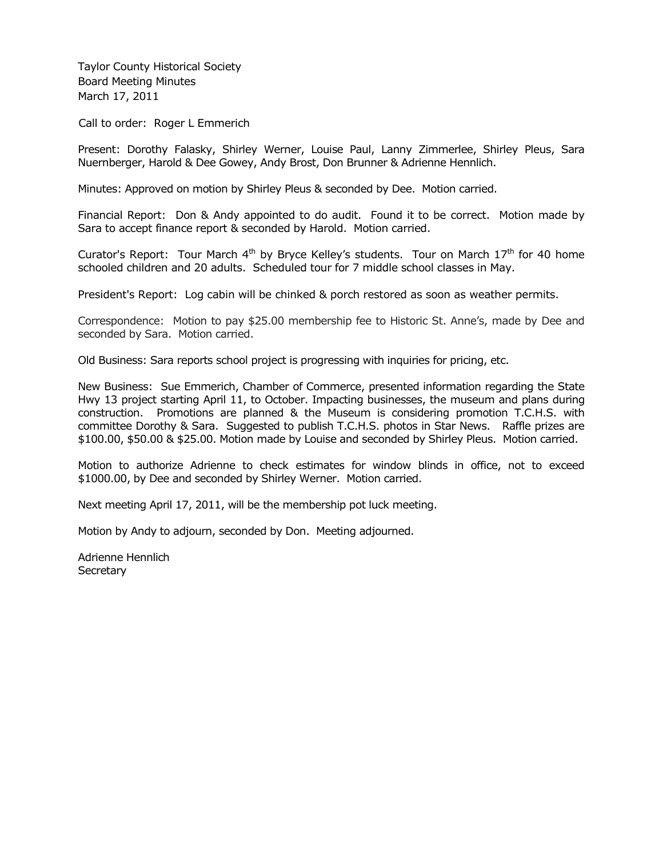Taylor County Historical Society Board Meeting Minutes March 17, 2011

Call to order: Roger L Emmerich

Present: Dorothy Falasky, Shirley Werner, Louise Paul, Lanny Zimmerlee, Shirley Pleus, Sara Nuernberger, Harold & Dee Gowey, Andy Brost, Don Brunner & Adrienne Hennlich.

Minutes: Approved on motion by Shirley Pleus & seconded by Dee. Motion carried.

Financial Report: Don & Andy appointed to do audit. Found it to be correct. Motion made by Sara to accept finance report & seconded by Harold. Motion carried.

Curator's Report: Tour March  $4<sup>th</sup>$  by Bryce Kelley's students. Tour on March  $17<sup>th</sup>$  for 40 home schooled children and 20 adults. Scheduled tour for 7 middle school classes in May.

President's Report: Log cabin will be chinked & porch restored as soon as weather permits.

Correspondence: Motion to pay \$25.00 membership fee to Historic St. Anne's, made by Dee and seconded by Sara. Motion carried.

Old Business: Sara reports school project is progressing with inquiries for pricing, etc.

New Business: Sue Emmerich, Chamber of Commerce, presented information regarding the State Hwy 13 project starting April 11, to October. Impacting businesses, the museum and plans during construction. Promotions are planned & the Museum is considering promotion T.C.H.S. with committee Dorothy & Sara. Suggested to publish T.C.H.S. photos in Star News. Raffle prizes are \$100.00, \$50.00 & \$25.00. Motion made by Louise and seconded by Shirley Pleus. Motion carried.

Motion to authorize Adrienne to check estimates for window blinds in office, not to exceed \$1000.00, by Dee and seconded by Shirley Werner. Motion carried.

Next meeting April 17, 2011, will be the membership pot luck meeting.

Motion by Andy to adjourn, seconded by Don. Meeting adjourned.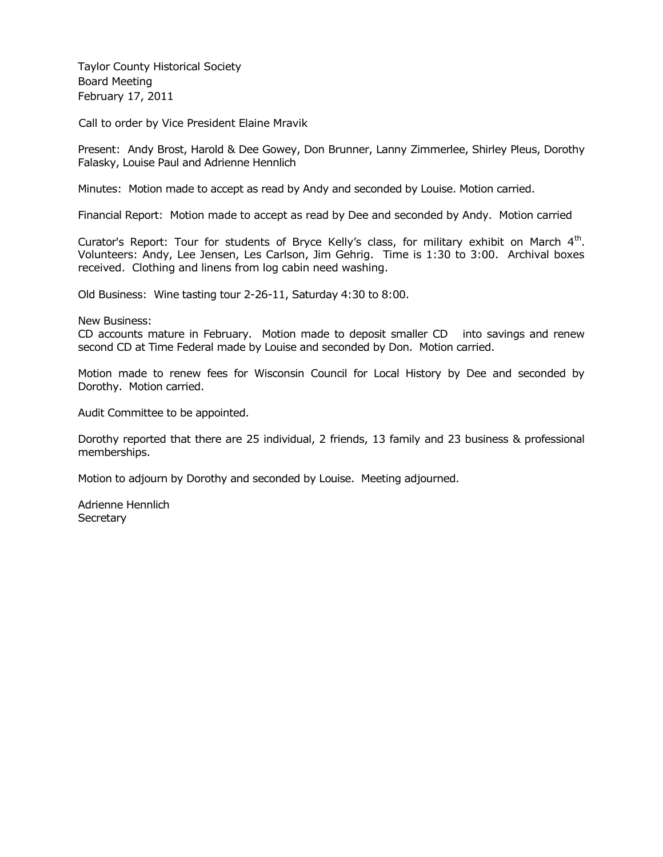Taylor County Historical Society Board Meeting February 17, 2011

Call to order by Vice President Elaine Mravik

Present: Andy Brost, Harold & Dee Gowey, Don Brunner, Lanny Zimmerlee, Shirley Pleus, Dorothy Falasky, Louise Paul and Adrienne Hennlich

Minutes: Motion made to accept as read by Andy and seconded by Louise. Motion carried.

Financial Report: Motion made to accept as read by Dee and seconded by Andy. Motion carried

Curator's Report: Tour for students of Bryce Kelly's class, for military exhibit on March  $4<sup>th</sup>$ . Volunteers: Andy, Lee Jensen, Les Carlson, Jim Gehrig. Time is 1:30 to 3:00. Archival boxes received. Clothing and linens from log cabin need washing.

Old Business: Wine tasting tour 2-26-11, Saturday 4:30 to 8:00.

New Business:

CD accounts mature in February. Motion made to deposit smaller CD into savings and renew second CD at Time Federal made by Louise and seconded by Don. Motion carried.

Motion made to renew fees for Wisconsin Council for Local History by Dee and seconded by Dorothy. Motion carried.

Audit Committee to be appointed.

Dorothy reported that there are 25 individual, 2 friends, 13 family and 23 business & professional memberships.

Motion to adjourn by Dorothy and seconded by Louise. Meeting adjourned.